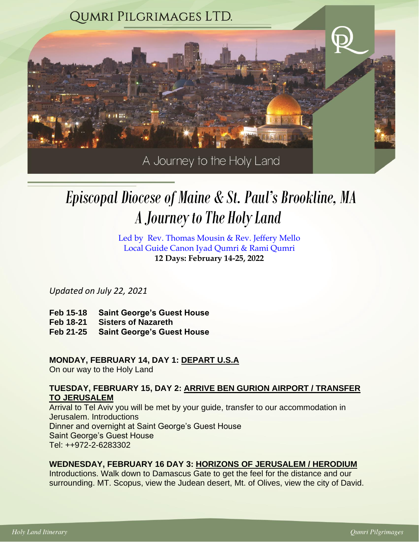

# *A Journey to The Holy Land Episcopal Diocese of Maine & St. Paul's Brookline, MA*

Led by Rev. Thomas Mousin & Rev. Jeffery Mello Local Guide Canon Iyad Qumri & Rami Qumri **12 Days: February 14-25, 2022**

*Updated on July 22, 2021*

- **Feb 15-18 Saint George's Guest House**
- **Feb 18-21 Sisters of Nazareth**
- **Feb 21-25 Saint George's Guest House**

# **MONDAY, FEBRUARY 14, DAY 1: DEPART U.S.A**

On our way to the Holy Land

# **TUESDAY, FEBRUARY 15, DAY 2: ARRIVE BEN GURION AIRPORT / TRANSFER TO JERUSALEM**

Arrival to Tel Aviv you will be met by your guide, transfer to our accommodation in Jerusalem. Introductions Dinner and overnight at Saint George's Guest House Saint George's Guest House Tel: ++972-2-6283302

# **WEDNESDAY, FEBRUARY 16 DAY 3: HORIZONS OF JERUSALEM / HERODIUM**

Introductions. Walk down to Damascus Gate to get the feel for the distance and our surrounding. MT. Scopus, view the Judean desert, Mt. of Olives, view the city of David.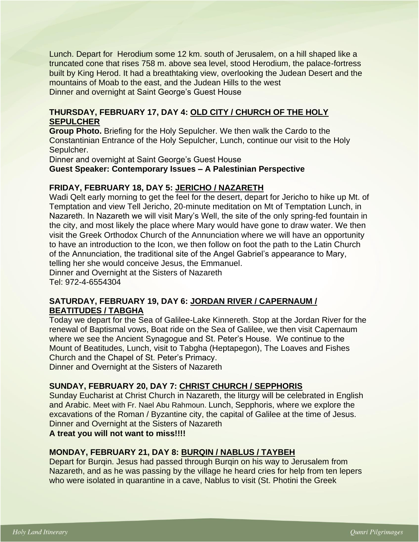Lunch. Depart for Herodium some 12 km. south of [Jerusalem,](http://www.jewishvirtuallibrary.org/jsource/Peace/jerutoc.html) on a hill shaped like a truncated cone that rises 758 m. above sea level, stood Herodium, the palace-fortress built by [King Herod.](http://www.jewishvirtuallibrary.org/jsource/biography/Herod.html) It had a breathtaking view, overlooking the Judean Desert and the mountains of Moab to the east, and the Judean Hills to the west Dinner and overnight at Saint George's Guest House

# **THURSDAY, FEBRUARY 17, DAY 4: OLD CITY / CHURCH OF THE HOLY SEPULCHER**

**Group Photo.** Briefing for the Holy Sepulcher. We then walk the Cardo to the Constantinian Entrance of the Holy Sepulcher, Lunch, continue our visit to the Holy Sepulcher.

Dinner and overnight at Saint George's Guest House

**Guest Speaker: Contemporary Issues – A Palestinian Perspective**

#### **FRIDAY, FEBRUARY 18, DAY 5: JERICHO / NAZARETH**

Wadi Qelt early morning to get the feel for the desert, depart for Jericho to hike up Mt. of Temptation and view Tell Jericho, 20-minute meditation on Mt of Temptation Lunch, in Nazareth. In Nazareth we will visit Mary's Well, the site of the only spring-fed fountain in the city, and most likely the place where Mary would have gone to draw water. We then visit the Greek Orthodox Church of the Annunciation where we will have an opportunity to have an introduction to the Icon, we then follow on foot the path to the Latin Church of the Annunciation, the traditional site of the Angel Gabriel's appearance to Mary, telling her she would conceive Jesus, the Emmanuel.

Dinner and Overnight at the Sisters of Nazareth Tel: 972-4-6554304

#### **SATURDAY, FEBRUARY 19, DAY 6: JORDAN RIVER / CAPERNAUM / BEATITUDES / TABGHA**

Today we depart for the Sea of Galilee-Lake Kinnereth. Stop at the Jordan River for the renewal of Baptismal vows, Boat ride on the Sea of Galilee, we then visit Capernaum where we see the Ancient Synagogue and St. Peter's House. We continue to the Mount of Beatitudes, Lunch, visit to Tabgha (Heptapegon), The Loaves and Fishes Church and the Chapel of St. Peter's Primacy.

Dinner and Overnight at the Sisters of Nazareth

# **SUNDAY, FEBRUARY 20, DAY 7: CHRIST CHURCH / SEPPHORIS**

Sunday Eucharist at Christ Church in Nazareth, the liturgy will be celebrated in English and Arabic. Meet with Fr. Nael Abu Rahmoun. Lunch, Sepphoris, where we explore the excavations of the Roman / Byzantine city, the capital of Galilee at the time of Jesus. Dinner and Overnight at the Sisters of Nazareth

**A treat you will not want to miss!!!!**

#### **MONDAY, FEBRUARY 21, DAY 8: BURQIN / NABLUS / TAYBEH**

Depart for Burqin. Jesus had passed through Burqin on his way to Jerusalem from Nazareth, and as he was passing by the village he heard cries for help from ten lepers who were isolated in quarantine in a cave, Nablus to visit (St. Photini the Greek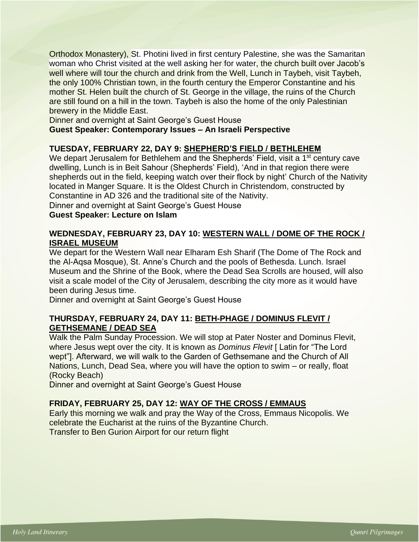Orthodox Monastery), St. Photini lived in first century Palestine, she was the Samaritan woman who Christ visited at the well asking her for water, the church built over Jacob's well where will tour the church and drink from the Well, Lunch in Taybeh, visit Taybeh, the only 100% Christian town, in the fourth century the Emperor Constantine and his mother St. Helen built the church of St. George in the village, the ruins of the Church are still found on a hill in the town. Taybeh is also the home of the only Palestinian brewery in the Middle East.

Dinner and overnight at Saint George's Guest House

**Guest Speaker: Contemporary Issues – An Israeli Perspective**

#### **TUESDAY, FEBRUARY 22, DAY 9: SHEPHERD'S FIELD / BETHLEHEM**

We depart Jerusalem for Bethlehem and the Shepherds' Field, visit a 1<sup>st</sup> century cave dwelling, Lunch is in Beit Sahour (Shepherds' Field), 'And in that region there were shepherds out in the field, keeping watch over their flock by night' Church of the Nativity located in Manger Square. It is the Oldest Church in Christendom, constructed by Constantine in AD 326 and the traditional site of the Nativity.

Dinner and overnight at Saint George's Guest House

#### **Guest Speaker: Lecture on Islam**

#### **WEDNESDAY, FEBRUARY 23, DAY 10: WESTERN WALL / DOME OF THE ROCK / ISRAEL MUSEUM**

We depart for the Western Wall near Elharam Esh Sharif (The Dome of The Rock and the Al-Aqsa Mosque), St. Anne's Church and the pools of Bethesda. Lunch. Israel Museum and the Shrine of the Book, where the Dead Sea Scrolls are housed, will also visit a scale model of the City of Jerusalem, describing the city more as it would have been during Jesus time.

Dinner and overnight at Saint George's Guest House

# **THURSDAY, FEBRUARY 24, DAY 11: BETH-PHAGE / DOMINUS FLEVIT / GETHSEMANE / DEAD SEA**

Walk the Palm Sunday Procession. We will stop at Pater Noster and Dominus Flevit, where Jesus wept over the city. It is known as *Dominus Flevit* [ Latin for "The Lord wept"]. Afterward, we will walk to the Garden of Gethsemane and the Church of All Nations, Lunch, Dead Sea, where you will have the option to swim – or really, float (Rocky Beach)

Dinner and overnight at Saint George's Guest House

#### **FRIDAY, FEBRUARY 25, DAY 12: WAY OF THE CROSS / EMMAUS**

Early this morning we walk and pray the Way of the Cross, Emmaus Nicopolis. We celebrate the Eucharist at the ruins of the Byzantine Church. Transfer to Ben Gurion Airport for our return flight